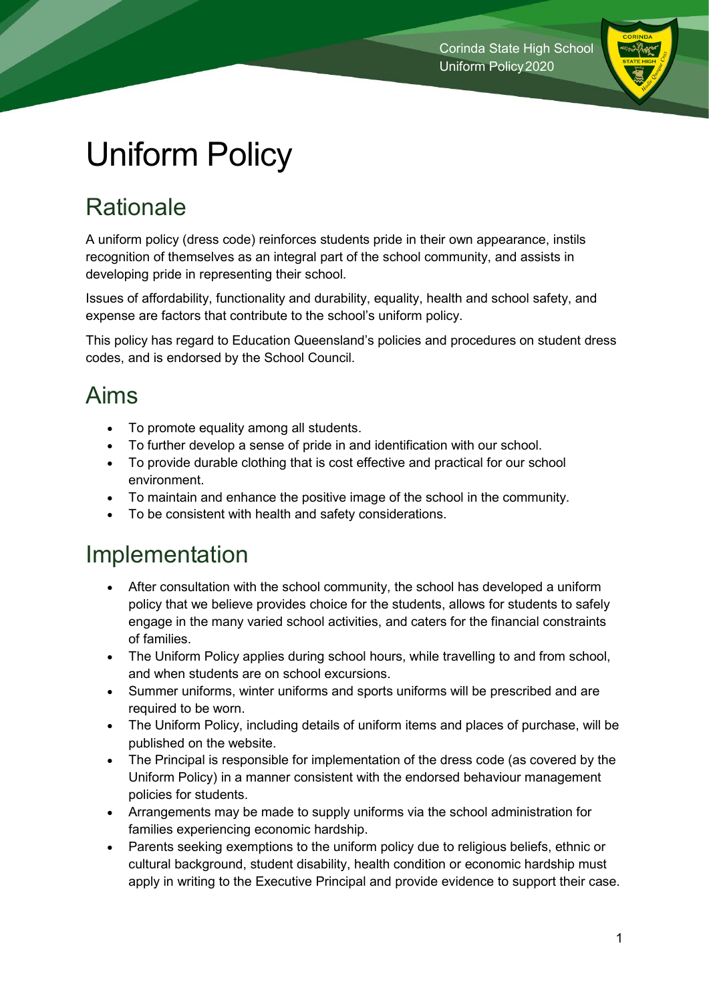

# Uniform Policy

## **Rationale**

A uniform policy (dress code) reinforces students pride in their own appearance, instils recognition of themselves as an integral part of the school community, and assists in developing pride in representing their school.

Issues of affordability, functionality and durability, equality, health and school safety, and expense are factors that contribute to the school's uniform policy.

This policy has regard to Education Queensland's policies and procedures on student dress codes, and is endorsed by the School Council.

### Aims

- To promote equality among all students.
- To further develop a sense of pride in and identification with our school.
- To provide durable clothing that is cost effective and practical for our school environment.
- To maintain and enhance the positive image of the school in the community.
- To be consistent with health and safety considerations.

### Implementation

- After consultation with the school community, the school has developed a uniform policy that we believe provides choice for the students, allows for students to safely engage in the many varied school activities, and caters for the financial constraints of families.
- The Uniform Policy applies during school hours, while travelling to and from school, and when students are on school excursions.
- Summer uniforms, winter uniforms and sports uniforms will be prescribed and are required to be worn.
- The Uniform Policy, including details of uniform items and places of purchase, will be published on the website.
- The Principal is responsible for implementation of the dress code (as covered by the Uniform Policy) in a manner consistent with the endorsed behaviour management policies for students.
- Arrangements may be made to supply uniforms via the school administration for families experiencing economic hardship.
- Parents seeking exemptions to the uniform policy due to religious beliefs, ethnic or cultural background, student disability, health condition or economic hardship must apply in writing to the Executive Principal and provide evidence to support their case.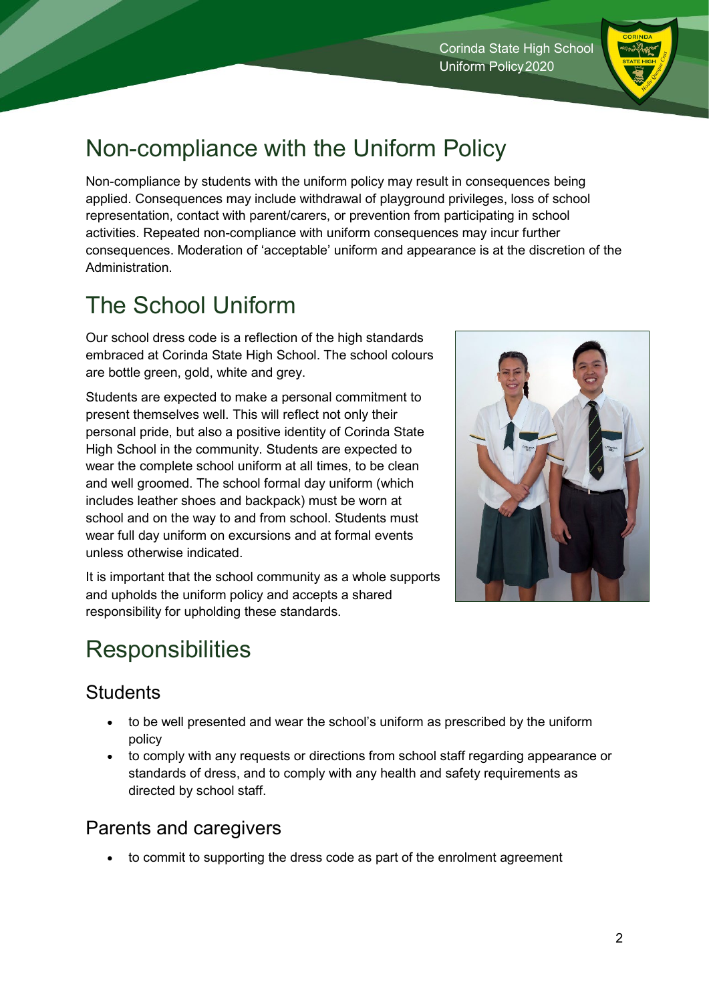#### Corinda State High School Uniform Policy2020

## Non-compliance with the Uniform Policy

Non-compliance by students with the uniform policy may result in consequences being applied. Consequences may include withdrawal of playground privileges, loss of school representation, contact with parent/carers, or prevention from participating in school activities. Repeated non-compliance with uniform consequences may incur further consequences. Moderation of 'acceptable' uniform and appearance is at the discretion of the Administration.

## The School Uniform

Our school dress code is a reflection of the high standards embraced at Corinda State High School. The school colours are bottle green, gold, white and grey.

Students are expected to make a personal commitment to present themselves well. This will reflect not only their personal pride, but also a positive identity of Corinda State High School in the community. Students are expected to wear the complete school uniform at all times, to be clean and well groomed. The school formal day uniform (which includes leather shoes and backpack) must be worn at school and on the way to and from school. Students must wear full day uniform on excursions and at formal events unless otherwise indicated.

It is important that the school community as a whole supports and upholds the uniform policy and accepts a shared responsibility for upholding these standards.

## **Responsibilities**

#### **Students**

- to be well presented and wear the school's uniform as prescribed by the uniform policy
- to comply with any requests or directions from school staff regarding appearance or standards of dress, and to comply with any health and safety requirements as directed by school staff.

#### Parents and caregivers

• to commit to supporting the dress code as part of the enrolment agreement



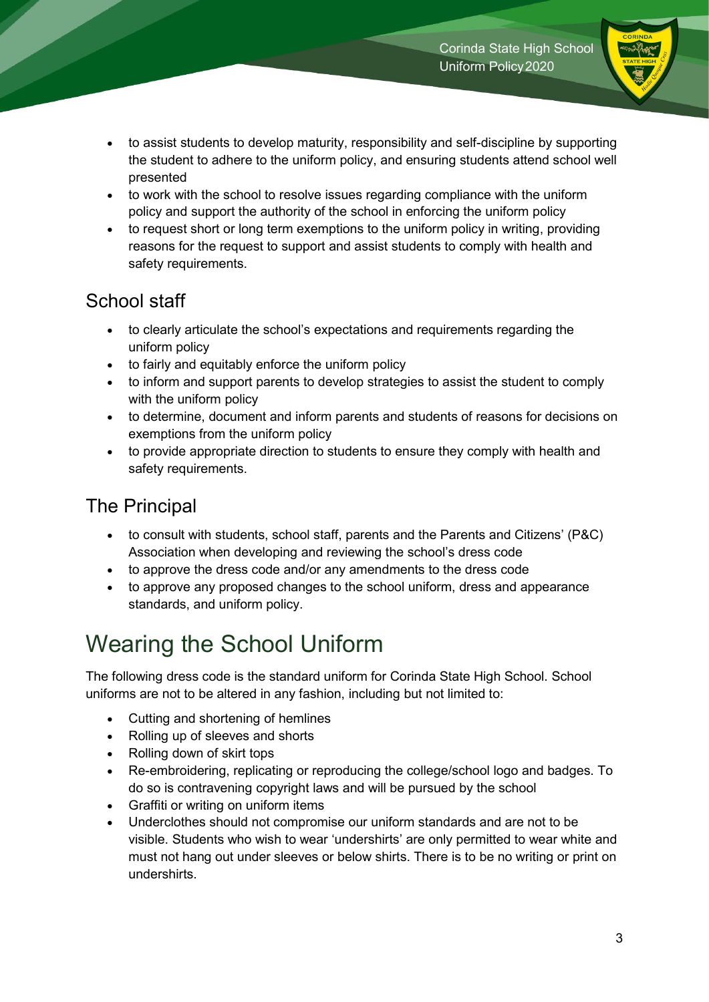

- to assist students to develop maturity, responsibility and self-discipline by supporting the student to adhere to the uniform policy, and ensuring students attend school well presented
- to work with the school to resolve issues regarding compliance with the uniform policy and support the authority of the school in enforcing the uniform policy
- to request short or long term exemptions to the uniform policy in writing, providing reasons for the request to support and assist students to comply with health and safety requirements.

#### School staff

- to clearly articulate the school's expectations and requirements regarding the uniform policy
- to fairly and equitably enforce the uniform policy
- to inform and support parents to develop strategies to assist the student to comply with the uniform policy
- to determine, document and inform parents and students of reasons for decisions on exemptions from the uniform policy
- to provide appropriate direction to students to ensure they comply with health and safety requirements.

### The Principal

- to consult with students, school staff, parents and the Parents and Citizens' (P&C) Association when developing and reviewing the school's dress code
- to approve the dress code and/or any amendments to the dress code
- to approve any proposed changes to the school uniform, dress and appearance standards, and uniform policy.

## Wearing the School Uniform

The following dress code is the standard uniform for Corinda State High School. School uniforms are not to be altered in any fashion, including but not limited to:

- Cutting and shortening of hemlines
- Rolling up of sleeves and shorts
- Rolling down of skirt tops
- Re-embroidering, replicating or reproducing the college/school logo and badges. To do so is contravening copyright laws and will be pursued by the school
- Graffiti or writing on uniform items
- Underclothes should not compromise our uniform standards and are not to be visible. Students who wish to wear 'undershirts' are only permitted to wear white and must not hang out under sleeves or below shirts. There is to be no writing or print on undershirts.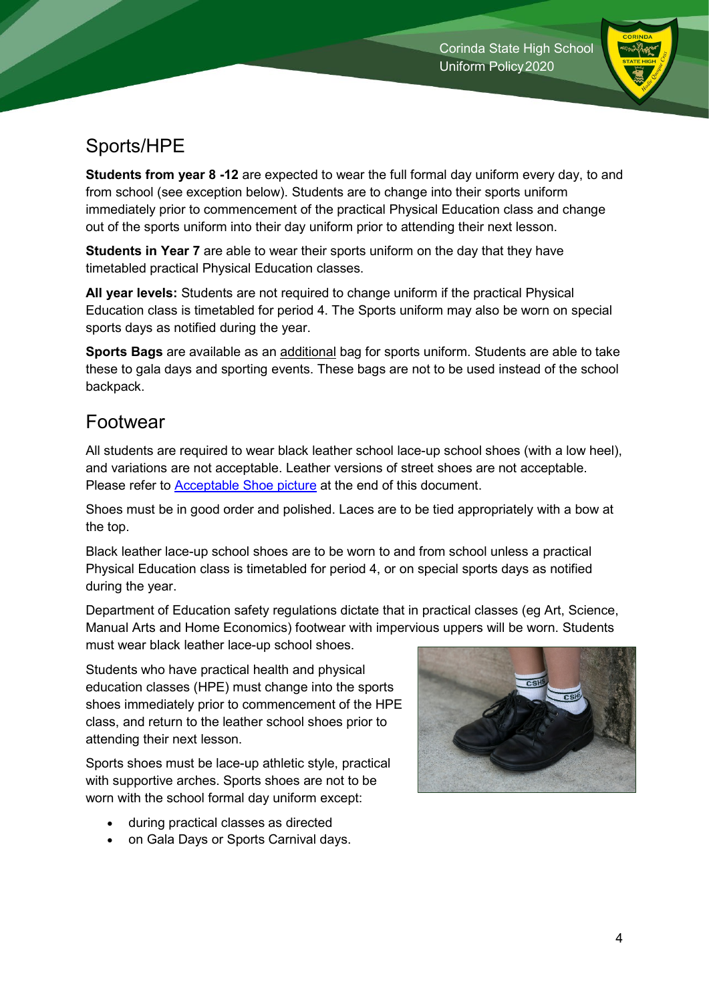

### Sports/HPE

**Students from year 8 -12** are expected to wear the full formal day uniform every day, to and from school (see exception below). Students are to change into their sports uniform immediately prior to commencement of the practical Physical Education class and change out of the sports uniform into their day uniform prior to attending their next lesson.

**Students in Year 7** are able to wear their sports uniform on the day that they have timetabled practical Physical Education classes.

**All year levels:** Students are not required to change uniform if the practical Physical Education class is timetabled for period 4. The Sports uniform may also be worn on special sports days as notified during the year.

**Sports Bags** are available as an additional bag for sports uniform. Students are able to take these to gala days and sporting events. These bags are not to be used instead of the school backpack.

#### Footwear

All students are required to wear black leather school lace-up school shoes (with a low heel), and variations are not acceptable. Leather versions of street shoes are not acceptable. Please refer to **Acceptable Shoe picture** at the end of this document.

Shoes must be in good order and polished. Laces are to be tied appropriately with a bow at the top.

Black leather lace-up school shoes are to be worn to and from school unless a practical Physical Education class is timetabled for period 4, or on special sports days as notified during the year.

Department of Education safety regulations dictate that in practical classes (eg Art, Science, Manual Arts and Home Economics) footwear with impervious uppers will be worn. Students must wear black leather lace-up school shoes.

Students who have practical health and physical education classes (HPE) must change into the sports shoes immediately prior to commencement of the HPE class, and return to the leather school shoes prior to attending their next lesson.

Sports shoes must be lace-up athletic style, practical with supportive arches. Sports shoes are not to be worn with the school formal day uniform except:

- during practical classes as directed
- on Gala Days or Sports Carnival days.

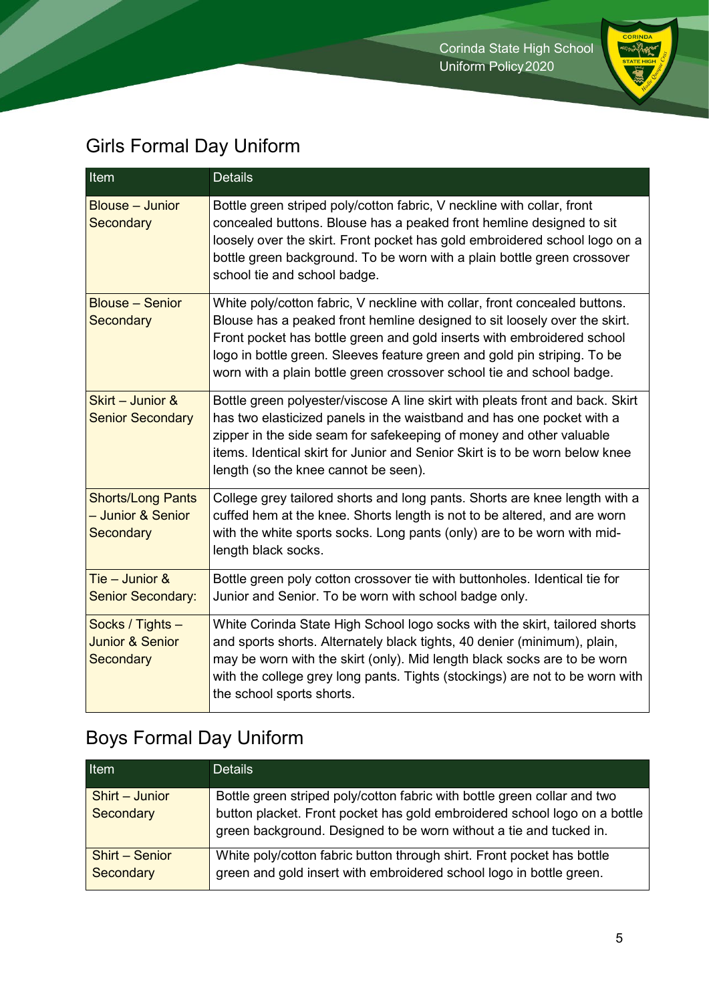

### Girls Formal Day Uniform

| <b>Item</b>                                                        | <b>Details</b>                                                                                                                                                                                                                                                                                                                                                                         |
|--------------------------------------------------------------------|----------------------------------------------------------------------------------------------------------------------------------------------------------------------------------------------------------------------------------------------------------------------------------------------------------------------------------------------------------------------------------------|
| <b>Blouse - Junior</b><br><b>Secondary</b>                         | Bottle green striped poly/cotton fabric, V neckline with collar, front<br>concealed buttons. Blouse has a peaked front hemline designed to sit<br>loosely over the skirt. Front pocket has gold embroidered school logo on a<br>bottle green background. To be worn with a plain bottle green crossover<br>school tie and school badge.                                                |
| <b>Blouse - Senior</b><br><b>Secondary</b>                         | White poly/cotton fabric, V neckline with collar, front concealed buttons.<br>Blouse has a peaked front hemline designed to sit loosely over the skirt.<br>Front pocket has bottle green and gold inserts with embroidered school<br>logo in bottle green. Sleeves feature green and gold pin striping. To be<br>worn with a plain bottle green crossover school tie and school badge. |
| Skirt - Junior &<br><b>Senior Secondary</b>                        | Bottle green polyester/viscose A line skirt with pleats front and back. Skirt<br>has two elasticized panels in the waistband and has one pocket with a<br>zipper in the side seam for safekeeping of money and other valuable<br>items. Identical skirt for Junior and Senior Skirt is to be worn below knee<br>length (so the knee cannot be seen).                                   |
| <b>Shorts/Long Pants</b><br>- Junior & Senior<br><b>Secondary</b>  | College grey tailored shorts and long pants. Shorts are knee length with a<br>cuffed hem at the knee. Shorts length is not to be altered, and are worn<br>with the white sports socks. Long pants (only) are to be worn with mid-<br>length black socks.                                                                                                                               |
| Tie - Junior &<br><b>Senior Secondary:</b>                         | Bottle green poly cotton crossover tie with buttonholes. Identical tie for<br>Junior and Senior. To be worn with school badge only.                                                                                                                                                                                                                                                    |
| Socks / Tights -<br><b>Junior &amp; Senior</b><br><b>Secondary</b> | White Corinda State High School logo socks with the skirt, tailored shorts<br>and sports shorts. Alternately black tights, 40 denier (minimum), plain,<br>may be worn with the skirt (only). Mid length black socks are to be worn<br>with the college grey long pants. Tights (stockings) are not to be worn with<br>the school sports shorts.                                        |

### Boys Formal Day Uniform

| Item                               | <b>Details</b>                                                                                                                                                                                                              |
|------------------------------------|-----------------------------------------------------------------------------------------------------------------------------------------------------------------------------------------------------------------------------|
| Shirt - Junior<br>Secondary        | Bottle green striped poly/cotton fabric with bottle green collar and two<br>button placket. Front pocket has gold embroidered school logo on a bottle<br>green background. Designed to be worn without a tie and tucked in. |
| <b>Shirt - Senior</b><br>Secondary | White poly/cotton fabric button through shirt. Front pocket has bottle<br>green and gold insert with embroidered school logo in bottle green.                                                                               |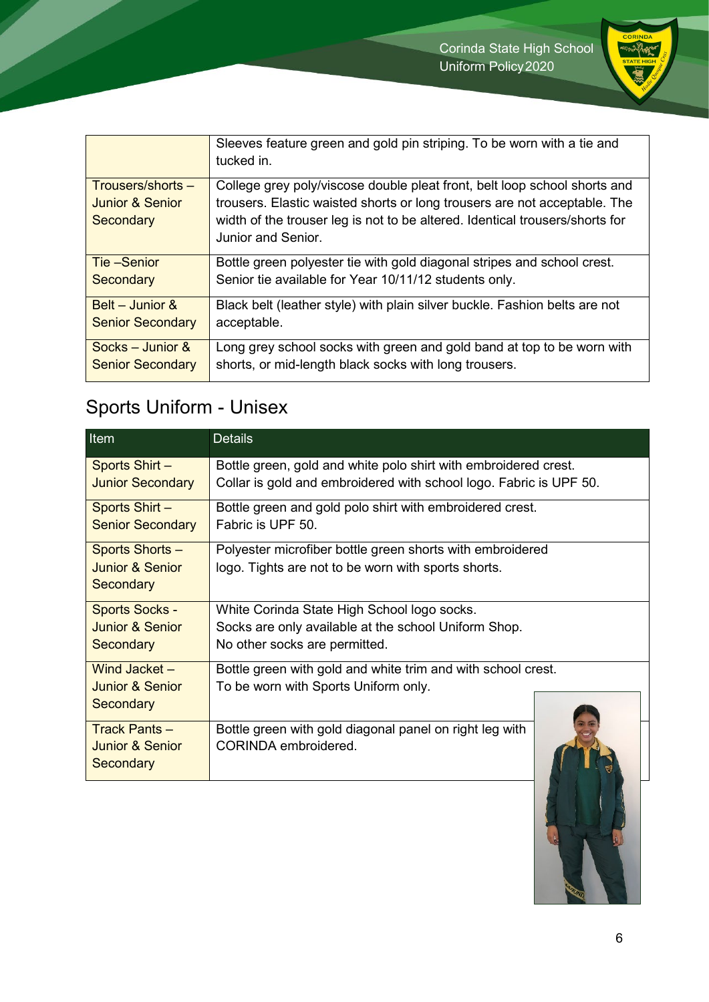

|                            | Sleeves feature green and gold pin striping. To be worn with a tie and<br>tucked in.               |
|----------------------------|----------------------------------------------------------------------------------------------------|
| Trousers/shorts -          | College grey poly/viscose double pleat front, belt loop school shorts and                          |
| <b>Junior &amp; Senior</b> | trousers. Elastic waisted shorts or long trousers are not acceptable. The                          |
| Secondary                  | width of the trouser leg is not to be altered. Identical trousers/shorts for<br>Junior and Senior. |
| Tie –Senior                | Bottle green polyester tie with gold diagonal stripes and school crest.                            |
| Secondary                  | Senior tie available for Year 10/11/12 students only.                                              |
| Belt – Junior $\&$         | Black belt (leather style) with plain silver buckle. Fashion belts are not                         |
| <b>Senior Secondary</b>    | acceptable.                                                                                        |
| Socks – Junior $\&$        | Long grey school socks with green and gold band at top to be worn with                             |
| <b>Senior Secondary</b>    | shorts, or mid-length black socks with long trousers.                                              |

### Sports Uniform - Unisex

| Item                       | <b>Details</b>                                                     |
|----------------------------|--------------------------------------------------------------------|
| Sports Shirt -             | Bottle green, gold and white polo shirt with embroidered crest.    |
| <b>Junior Secondary</b>    | Collar is gold and embroidered with school logo. Fabric is UPF 50. |
| Sports Shirt -             | Bottle green and gold polo shirt with embroidered crest.           |
| <b>Senior Secondary</b>    | Fabric is UPF 50.                                                  |
| Sports Shorts -            | Polyester microfiber bottle green shorts with embroidered          |
| Junior & Senior            | logo. Tights are not to be worn with sports shorts.                |
| Secondary                  |                                                                    |
| <b>Sports Socks -</b>      | White Corinda State High School logo socks.                        |
| Junior & Senior            | Socks are only available at the school Uniform Shop.               |
| Secondary                  | No other socks are permitted.                                      |
| Wind Jacket $-$            | Bottle green with gold and white trim and with school crest.       |
| Junior & Senior            | To be worn with Sports Uniform only.                               |
| Secondary                  |                                                                    |
| Track Pants $-$            | Bottle green with gold diagonal panel on right leg with            |
| <b>Junior &amp; Senior</b> | CORINDA embroidered.                                               |
| Secondary                  |                                                                    |

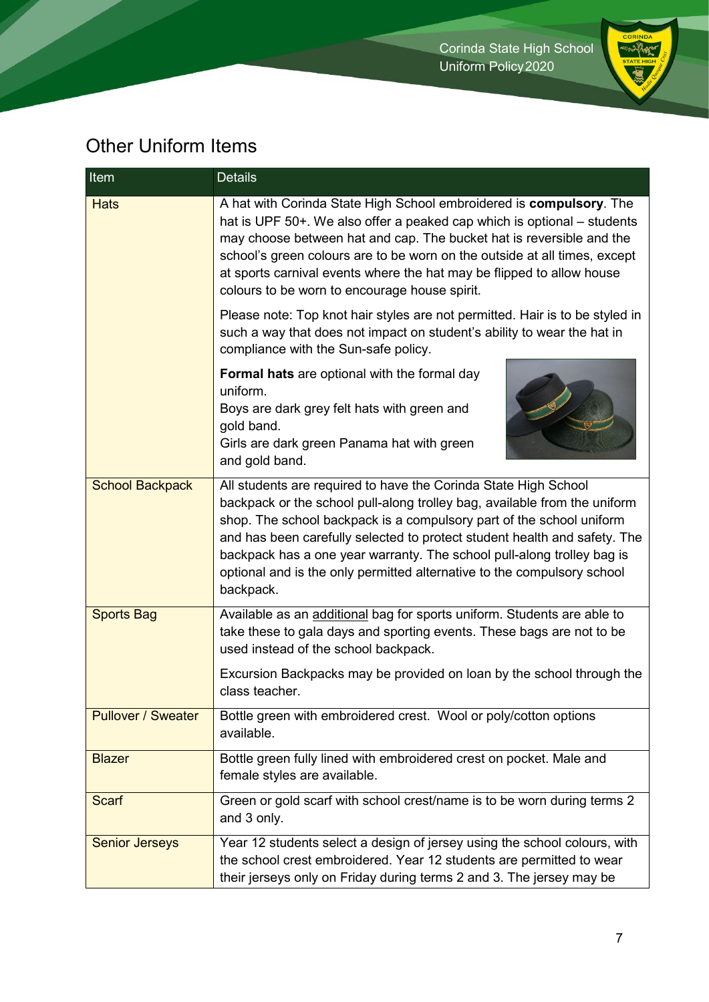

### Other Uniform Items

| Item                      | <b>Details</b>                                                                                                                                                                                                                                                                                                                                                                                                                                                      |
|---------------------------|---------------------------------------------------------------------------------------------------------------------------------------------------------------------------------------------------------------------------------------------------------------------------------------------------------------------------------------------------------------------------------------------------------------------------------------------------------------------|
| <b>Hats</b>               | A hat with Corinda State High School embroidered is compulsory. The<br>hat is UPF 50+. We also offer a peaked cap which is optional – students<br>may choose between hat and cap. The bucket hat is reversible and the<br>school's green colours are to be worn on the outside at all times, except<br>at sports carnival events where the hat may be flipped to allow house<br>colours to be worn to encourage house spirit.                                       |
|                           | Please note: Top knot hair styles are not permitted. Hair is to be styled in<br>such a way that does not impact on student's ability to wear the hat in<br>compliance with the Sun-safe policy.                                                                                                                                                                                                                                                                     |
|                           | <b>Formal hats</b> are optional with the formal day<br>uniform.<br>Boys are dark grey felt hats with green and<br>gold band.<br>Girls are dark green Panama hat with green<br>and gold band.                                                                                                                                                                                                                                                                        |
| <b>School Backpack</b>    | All students are required to have the Corinda State High School<br>backpack or the school pull-along trolley bag, available from the uniform<br>shop. The school backpack is a compulsory part of the school uniform<br>and has been carefully selected to protect student health and safety. The<br>backpack has a one year warranty. The school pull-along trolley bag is<br>optional and is the only permitted alternative to the compulsory school<br>backpack. |
| <b>Sports Bag</b>         | Available as an additional bag for sports uniform. Students are able to<br>take these to gala days and sporting events. These bags are not to be<br>used instead of the school backpack.                                                                                                                                                                                                                                                                            |
|                           | Excursion Backpacks may be provided on loan by the school through the<br>class teacher.                                                                                                                                                                                                                                                                                                                                                                             |
| <b>Pullover / Sweater</b> | Bottle green with embroidered crest. Wool or poly/cotton options<br>available.                                                                                                                                                                                                                                                                                                                                                                                      |
| <b>Blazer</b>             | Bottle green fully lined with embroidered crest on pocket. Male and<br>female styles are available.                                                                                                                                                                                                                                                                                                                                                                 |
| <b>Scarf</b>              | Green or gold scarf with school crest/name is to be worn during terms 2<br>and 3 only.                                                                                                                                                                                                                                                                                                                                                                              |
| <b>Senior Jerseys</b>     | Year 12 students select a design of jersey using the school colours, with<br>the school crest embroidered. Year 12 students are permitted to wear<br>their jerseys only on Friday during terms 2 and 3. The jersey may be                                                                                                                                                                                                                                           |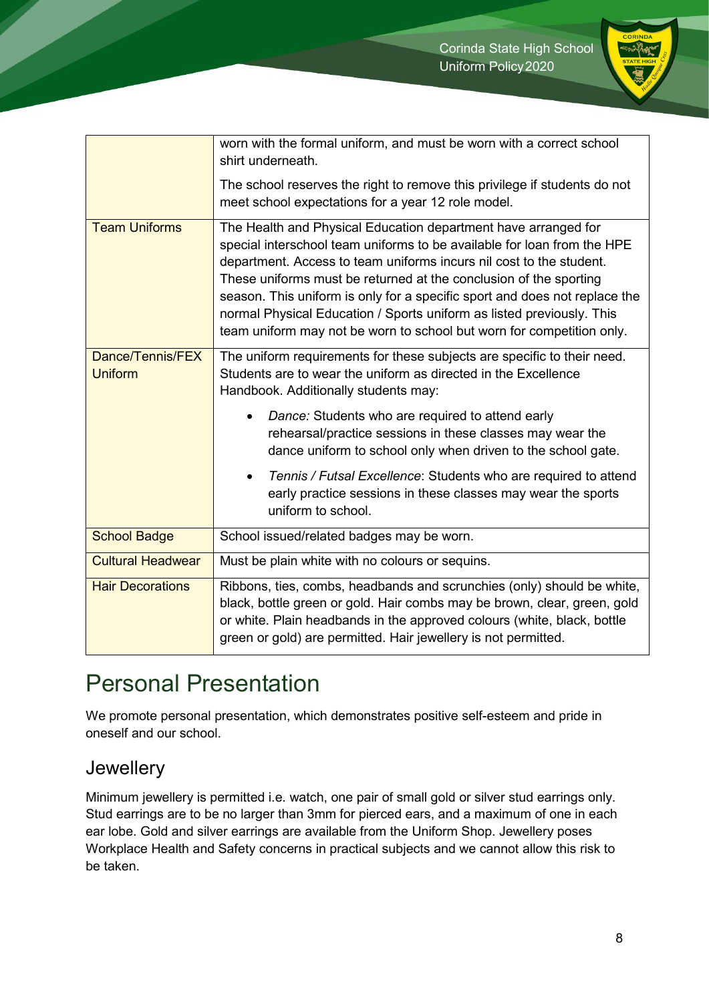

|                                    | worn with the formal uniform, and must be worn with a correct school<br>shirt underneath.                                                                                                                                                                                                                                                                                                                                                                                                                             |
|------------------------------------|-----------------------------------------------------------------------------------------------------------------------------------------------------------------------------------------------------------------------------------------------------------------------------------------------------------------------------------------------------------------------------------------------------------------------------------------------------------------------------------------------------------------------|
|                                    | The school reserves the right to remove this privilege if students do not<br>meet school expectations for a year 12 role model.                                                                                                                                                                                                                                                                                                                                                                                       |
| <b>Team Uniforms</b>               | The Health and Physical Education department have arranged for<br>special interschool team uniforms to be available for loan from the HPE<br>department. Access to team uniforms incurs nil cost to the student.<br>These uniforms must be returned at the conclusion of the sporting<br>season. This uniform is only for a specific sport and does not replace the<br>normal Physical Education / Sports uniform as listed previously. This<br>team uniform may not be worn to school but worn for competition only. |
| Dance/Tennis/FEX<br><b>Uniform</b> | The uniform requirements for these subjects are specific to their need.<br>Students are to wear the uniform as directed in the Excellence<br>Handbook. Additionally students may:                                                                                                                                                                                                                                                                                                                                     |
|                                    | Dance: Students who are required to attend early<br>rehearsal/practice sessions in these classes may wear the<br>dance uniform to school only when driven to the school gate.                                                                                                                                                                                                                                                                                                                                         |
|                                    | Tennis / Futsal Excellence: Students who are required to attend<br>early practice sessions in these classes may wear the sports<br>uniform to school.                                                                                                                                                                                                                                                                                                                                                                 |
| <b>School Badge</b>                | School issued/related badges may be worn.                                                                                                                                                                                                                                                                                                                                                                                                                                                                             |
| <b>Cultural Headwear</b>           | Must be plain white with no colours or sequins.                                                                                                                                                                                                                                                                                                                                                                                                                                                                       |
| <b>Hair Decorations</b>            | Ribbons, ties, combs, headbands and scrunchies (only) should be white,<br>black, bottle green or gold. Hair combs may be brown, clear, green, gold<br>or white. Plain headbands in the approved colours (white, black, bottle<br>green or gold) are permitted. Hair jewellery is not permitted.                                                                                                                                                                                                                       |

## Personal Presentation

We promote personal presentation, which demonstrates positive self-esteem and pride in oneself and our school.

#### Jewellery

Minimum jewellery is permitted i.e. watch, one pair of small gold or silver stud earrings only. Stud earrings are to be no larger than 3mm for pierced ears, and a maximum of one in each ear lobe. Gold and silver earrings are available from the Uniform Shop. Jewellery poses Workplace Health and Safety concerns in practical subjects and we cannot allow this risk to be taken.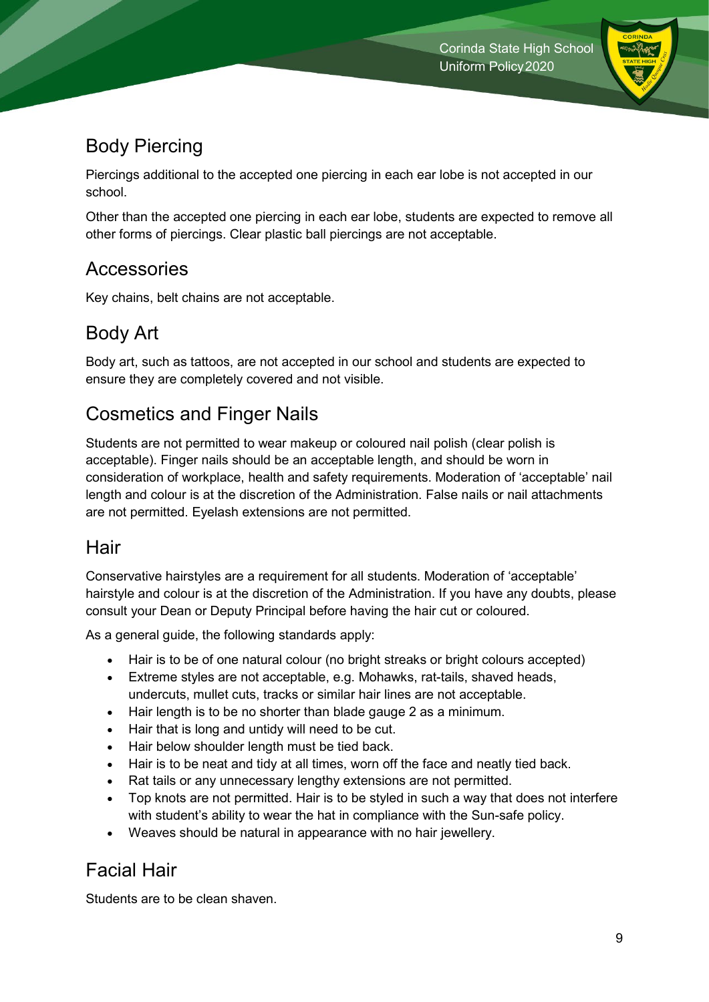

### Body Piercing

Piercings additional to the accepted one piercing in each ear lobe is not accepted in our school.

Other than the accepted one piercing in each ear lobe, students are expected to remove all other forms of piercings. Clear plastic ball piercings are not acceptable.

#### **Accessories**

Key chains, belt chains are not acceptable.

### Body Art

Body art, such as tattoos, are not accepted in our school and students are expected to ensure they are completely covered and not visible.

### Cosmetics and Finger Nails

Students are not permitted to wear makeup or coloured nail polish (clear polish is acceptable). Finger nails should be an acceptable length, and should be worn in consideration of workplace, health and safety requirements. Moderation of 'acceptable' nail length and colour is at the discretion of the Administration. False nails or nail attachments are not permitted. Eyelash extensions are not permitted.

#### **Hair**

Conservative hairstyles are a requirement for all students. Moderation of 'acceptable' hairstyle and colour is at the discretion of the Administration. If you have any doubts, please consult your Dean or Deputy Principal before having the hair cut or coloured.

As a general guide, the following standards apply:

- Hair is to be of one natural colour (no bright streaks or bright colours accepted)
- Extreme styles are not acceptable, e.g. Mohawks, rat-tails, shaved heads, undercuts, mullet cuts, tracks or similar hair lines are not acceptable.
- Hair length is to be no shorter than blade gauge 2 as a minimum.
- Hair that is long and untidy will need to be cut.
- Hair below shoulder length must be tied back.
- Hair is to be neat and tidy at all times, worn off the face and neatly tied back.
- Rat tails or any unnecessary lengthy extensions are not permitted.
- Top knots are not permitted. Hair is to be styled in such a way that does not interfere with student's ability to wear the hat in compliance with the Sun-safe policy.
- Weaves should be natural in appearance with no hair jewellery.

#### Facial Hair

Students are to be clean shaven.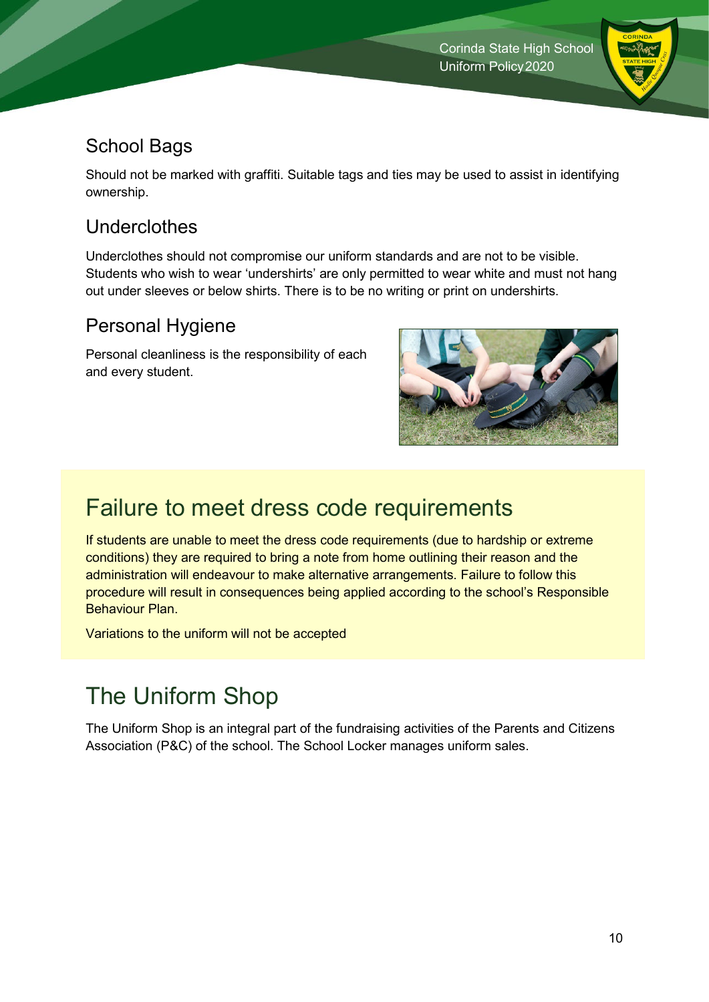

### School Bags

Should not be marked with graffiti. Suitable tags and ties may be used to assist in identifying ownership.

#### Underclothes

Underclothes should not compromise our uniform standards and are not to be visible. Students who wish to wear 'undershirts' are only permitted to wear white and must not hang out under sleeves or below shirts. There is to be no writing or print on undershirts.

#### Personal Hygiene

Personal cleanliness is the responsibility of each and every student.



### Failure to meet dress code requirements

If students are unable to meet the dress code requirements (due to hardship or extreme conditions) they are required to bring a note from home outlining their reason and the administration will endeavour to make alternative arrangements. Failure to follow this procedure will result in consequences being applied according to the school's Responsible Behaviour Plan.

Variations to the uniform will not be accepted

## The Uniform Shop

The Uniform Shop is an integral part of the fundraising activities of the Parents and Citizens Association (P&C) of the school. The School Locker manages uniform sales.